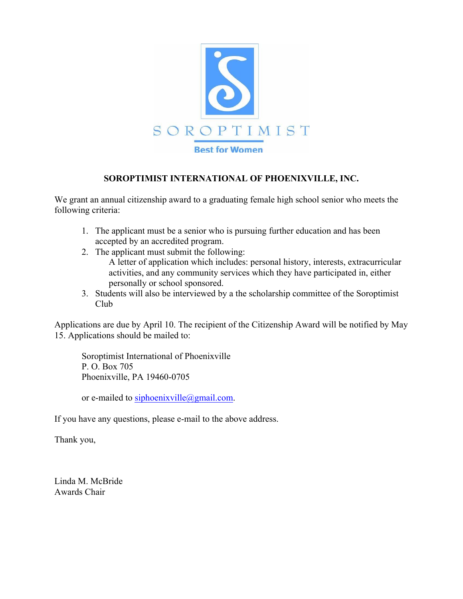

## **SOROPTIMIST INTERNATIONAL OF PHOENIXVILLE, INC.**

We grant an annual citizenship award to a graduating female high school senior who meets the following criteria:

- 1. The applicant must be a senior who is pursuing further education and has been accepted by an accredited program.
- 2. The applicant must submit the following: A letter of application which includes: personal history, interests, extracurricular activities, and any community services which they have participated in, either personally or school sponsored.
- 3. Students will also be interviewed by a the scholarship committee of the Soroptimist Club

Applications are due by April 10. The recipient of the Citizenship Award will be notified by May 15. Applications should be mailed to:

Soroptimist International of Phoenixville P. O. Box 705 Phoenixville, PA 19460-0705

or e-mailed to siphoenixville@gmail.com.

If you have any questions, please e-mail to the above address.

Thank you,

Linda M. McBride Awards Chair